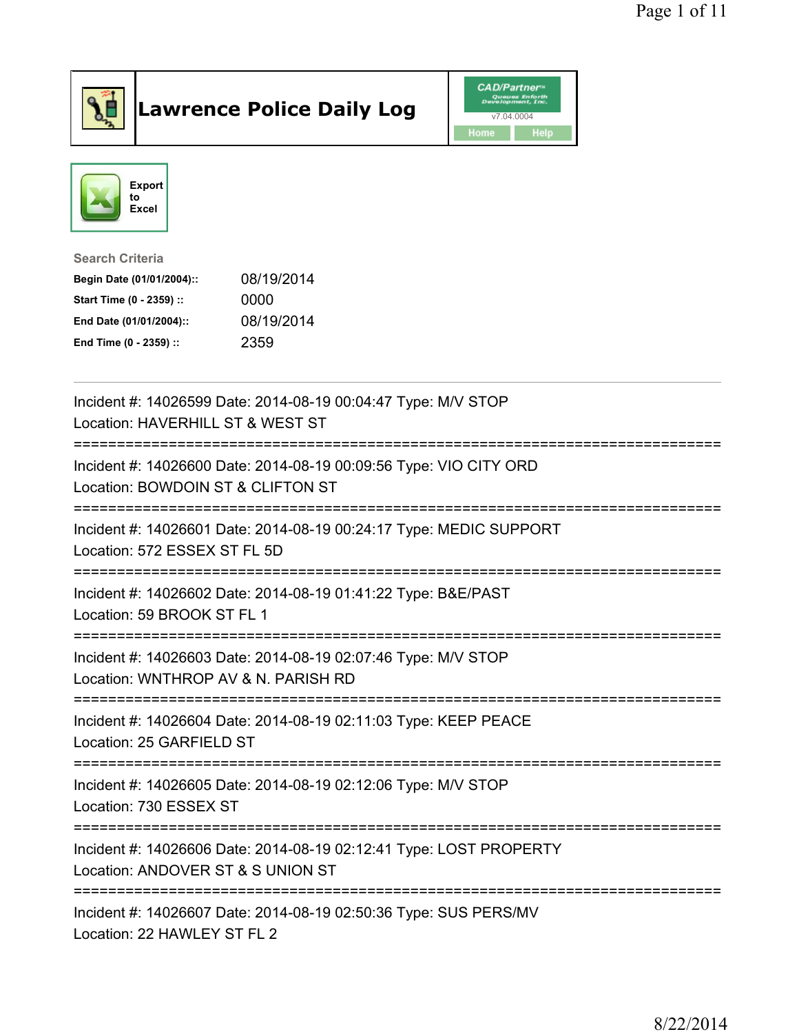

## Lawrence Police Daily Log **Daniel CAD/Partner**





Search Criteria Begin Date (01/01/2004):: 08/19/2014 Start Time (0 - 2359) :: 0000 End Date (01/01/2004):: 08/19/2014 End Time (0 - 2359) :: 2359

| Incident #: 14026599 Date: 2014-08-19 00:04:47 Type: M/V STOP<br>Location: HAVERHILL ST & WEST ST                              |
|--------------------------------------------------------------------------------------------------------------------------------|
| Incident #: 14026600 Date: 2014-08-19 00:09:56 Type: VIO CITY ORD<br>Location: BOWDOIN ST & CLIFTON ST                         |
| Incident #: 14026601 Date: 2014-08-19 00:24:17 Type: MEDIC SUPPORT<br>Location: 572 ESSEX ST FL 5D                             |
| Incident #: 14026602 Date: 2014-08-19 01:41:22 Type: B&E/PAST<br>Location: 59 BROOK ST FL 1                                    |
| Incident #: 14026603 Date: 2014-08-19 02:07:46 Type: M/V STOP<br>Location: WNTHROP AV & N. PARISH RD<br>---------------------- |
| Incident #: 14026604 Date: 2014-08-19 02:11:03 Type: KEEP PEACE<br>Location: 25 GARFIELD ST                                    |
| Incident #: 14026605 Date: 2014-08-19 02:12:06 Type: M/V STOP<br>Location: 730 ESSEX ST                                        |
| Incident #: 14026606 Date: 2014-08-19 02:12:41 Type: LOST PROPERTY<br>Location: ANDOVER ST & S UNION ST                        |
| :======================<br>Incident #: 14026607 Date: 2014-08-19 02:50:36 Type: SUS PERS/MV<br>Location: 22 HAWLEY ST FL 2     |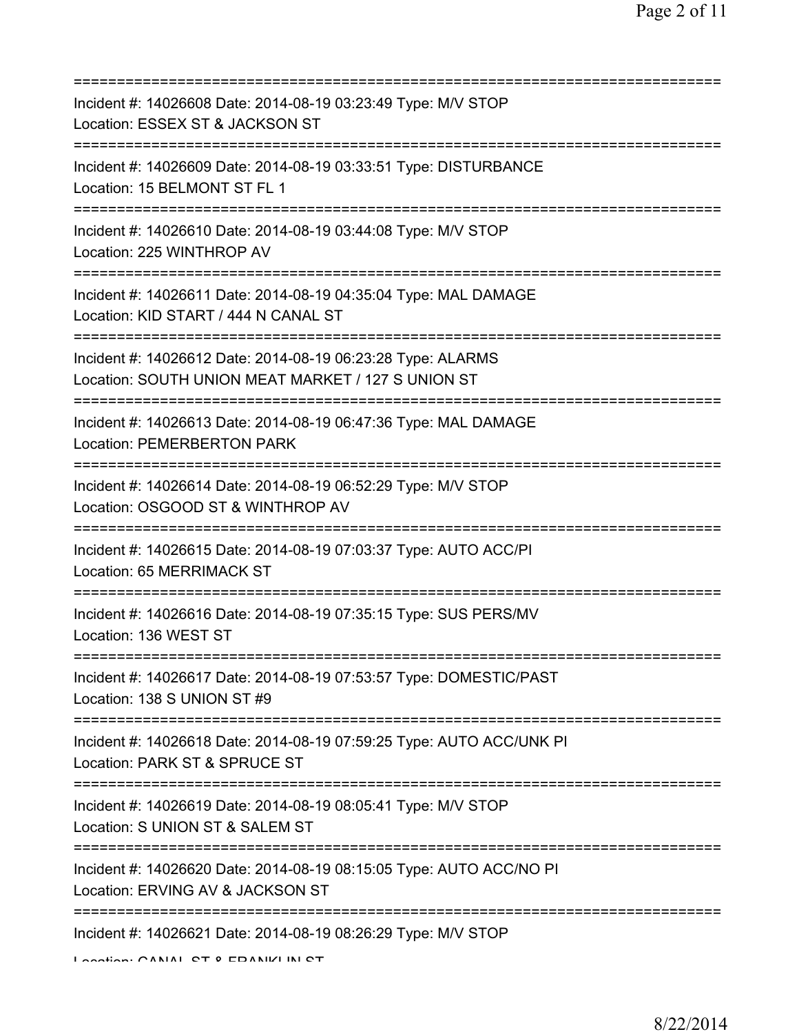| Incident #: 14026608 Date: 2014-08-19 03:23:49 Type: M/V STOP<br>Location: ESSEX ST & JACKSON ST<br>=======================                      |
|--------------------------------------------------------------------------------------------------------------------------------------------------|
| Incident #: 14026609 Date: 2014-08-19 03:33:51 Type: DISTURBANCE<br>Location: 15 BELMONT ST FL 1<br>=======================                      |
| Incident #: 14026610 Date: 2014-08-19 03:44:08 Type: M/V STOP<br>Location: 225 WINTHROP AV                                                       |
| =====================================<br>Incident #: 14026611 Date: 2014-08-19 04:35:04 Type: MAL DAMAGE<br>Location: KID START / 444 N CANAL ST |
| Incident #: 14026612 Date: 2014-08-19 06:23:28 Type: ALARMS<br>Location: SOUTH UNION MEAT MARKET / 127 S UNION ST                                |
| Incident #: 14026613 Date: 2014-08-19 06:47:36 Type: MAL DAMAGE<br>Location: PEMERBERTON PARK                                                    |
| Incident #: 14026614 Date: 2014-08-19 06:52:29 Type: M/V STOP<br>Location: OSGOOD ST & WINTHROP AV                                               |
| Incident #: 14026615 Date: 2014-08-19 07:03:37 Type: AUTO ACC/PI<br>Location: 65 MERRIMACK ST                                                    |
| Incident #: 14026616 Date: 2014-08-19 07:35:15 Type: SUS PERS/MV<br>Location: 136 WEST ST                                                        |
| Incident #: 14026617 Date: 2014-08-19 07:53:57 Type: DOMESTIC/PAST<br>Location: 138 S UNION ST #9                                                |
| Incident #: 14026618 Date: 2014-08-19 07:59:25 Type: AUTO ACC/UNK PI<br>Location: PARK ST & SPRUCE ST                                            |
| Incident #: 14026619 Date: 2014-08-19 08:05:41 Type: M/V STOP<br>Location: S UNION ST & SALEM ST                                                 |
| Incident #: 14026620 Date: 2014-08-19 08:15:05 Type: AUTO ACC/NO PI<br>Location: ERVING AV & JACKSON ST                                          |
| ===========<br>Incident #: 14026621 Date: 2014-08-19 08:26:29 Type: M/V STOP<br>Lootion: CANIAL CT 0 EDANII/LINI CT                              |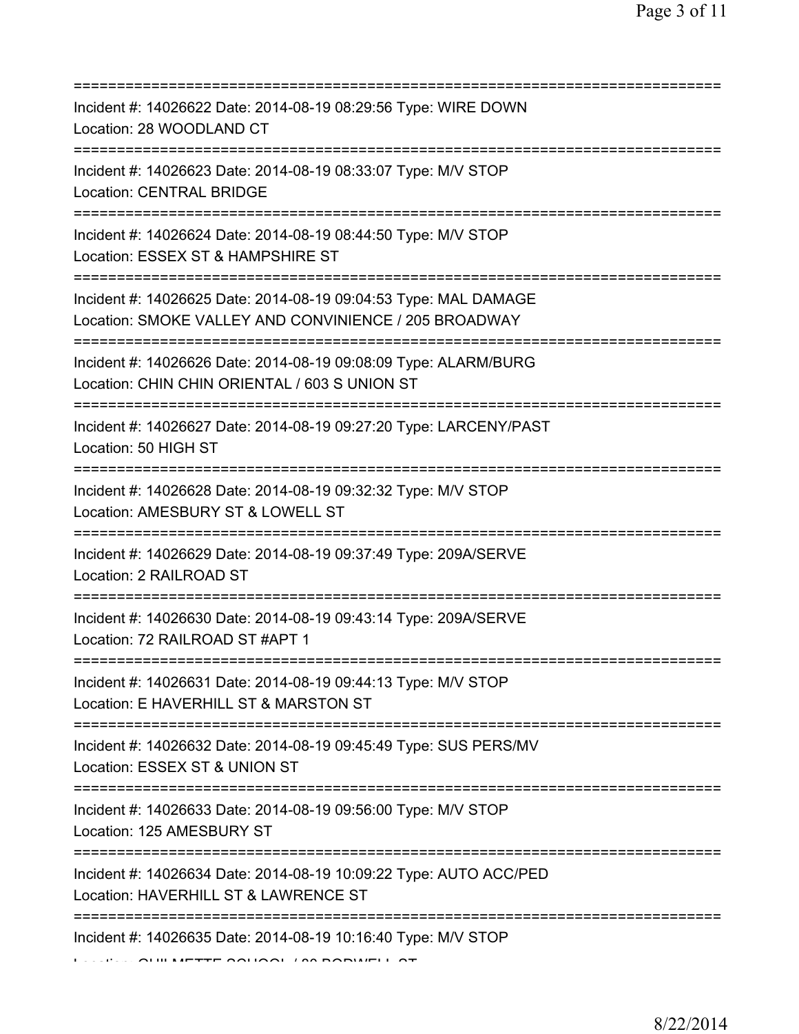| Incident #: 14026622 Date: 2014-08-19 08:29:56 Type: WIRE DOWN<br>Location: 28 WOODLAND CT                                            |
|---------------------------------------------------------------------------------------------------------------------------------------|
| Incident #: 14026623 Date: 2014-08-19 08:33:07 Type: M/V STOP<br>Location: CENTRAL BRIDGE<br>===============================          |
| Incident #: 14026624 Date: 2014-08-19 08:44:50 Type: M/V STOP<br>Location: ESSEX ST & HAMPSHIRE ST                                    |
| Incident #: 14026625 Date: 2014-08-19 09:04:53 Type: MAL DAMAGE<br>Location: SMOKE VALLEY AND CONVINIENCE / 205 BROADWAY              |
| Incident #: 14026626 Date: 2014-08-19 09:08:09 Type: ALARM/BURG<br>Location: CHIN CHIN ORIENTAL / 603 S UNION ST                      |
| Incident #: 14026627 Date: 2014-08-19 09:27:20 Type: LARCENY/PAST<br>Location: 50 HIGH ST                                             |
| ===============================<br>Incident #: 14026628 Date: 2014-08-19 09:32:32 Type: M/V STOP<br>Location: AMESBURY ST & LOWELL ST |
| Incident #: 14026629 Date: 2014-08-19 09:37:49 Type: 209A/SERVE<br>Location: 2 RAILROAD ST                                            |
| Incident #: 14026630 Date: 2014-08-19 09:43:14 Type: 209A/SERVE<br>Location: 72 RAILROAD ST #APT 1                                    |
| Incident #: 14026631 Date: 2014-08-19 09:44:13 Type: M/V STOP<br>Location: E HAVERHILL ST & MARSTON ST                                |
| Incident #: 14026632 Date: 2014-08-19 09:45:49 Type: SUS PERS/MV<br>Location: ESSEX ST & UNION ST                                     |
| Incident #: 14026633 Date: 2014-08-19 09:56:00 Type: M/V STOP<br>Location: 125 AMESBURY ST                                            |
| Incident #: 14026634 Date: 2014-08-19 10:09:22 Type: AUTO ACC/PED<br>Location: HAVERHILL ST & LAWRENCE ST                             |
| Incident #: 14026635 Date: 2014-08-19 10:16:40 Type: M/V STOP                                                                         |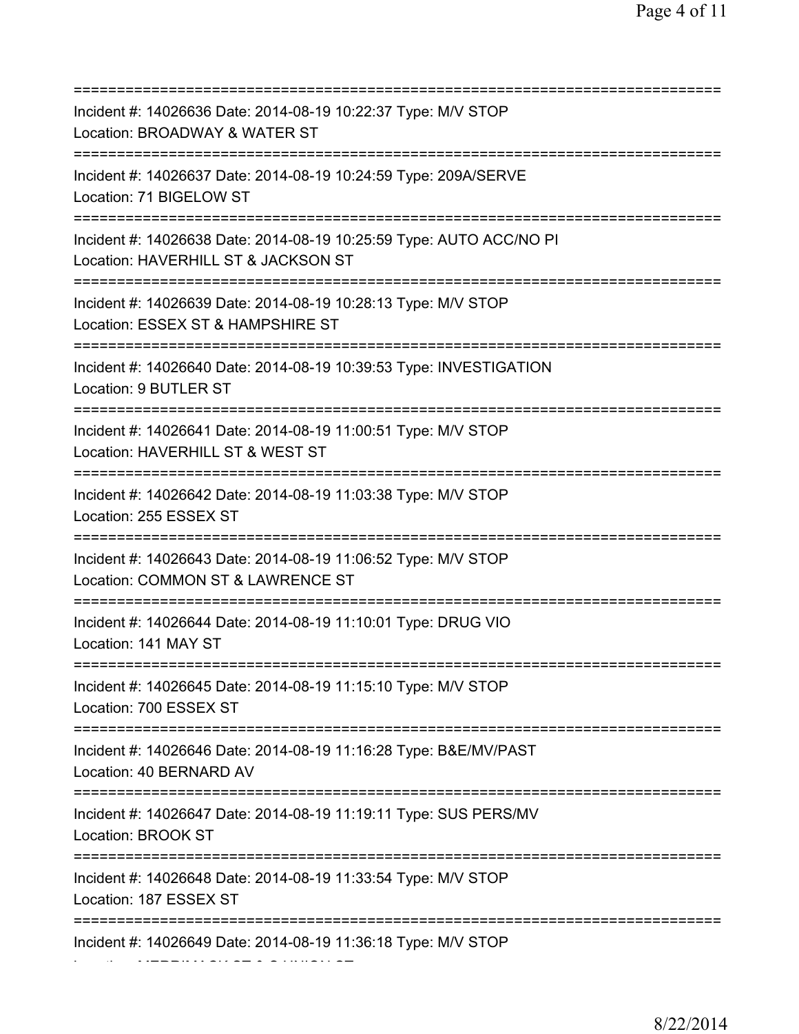=========================================================================== Incident #: 14026636 Date: 2014-08-19 10:22:37 Type: M/V STOP Location: BROADWAY & WATER ST =========================================================================== Incident #: 14026637 Date: 2014-08-19 10:24:59 Type: 209A/SERVE Location: 71 BIGELOW ST =========================================================================== Incident #: 14026638 Date: 2014-08-19 10:25:59 Type: AUTO ACC/NO PI Location: HAVERHILL ST & JACKSON ST =========================================================================== Incident #: 14026639 Date: 2014-08-19 10:28:13 Type: M/V STOP Location: ESSEX ST & HAMPSHIRE ST =========================================================================== Incident #: 14026640 Date: 2014-08-19 10:39:53 Type: INVESTIGATION Location: 9 BUTLER ST =========================================================================== Incident #: 14026641 Date: 2014-08-19 11:00:51 Type: M/V STOP Location: HAVERHILL ST & WEST ST =========================================================================== Incident #: 14026642 Date: 2014-08-19 11:03:38 Type: M/V STOP Location: 255 ESSEX ST =========================================================================== Incident #: 14026643 Date: 2014-08-19 11:06:52 Type: M/V STOP Location: COMMON ST & LAWRENCE ST =========================================================================== Incident #: 14026644 Date: 2014-08-19 11:10:01 Type: DRUG VIO Location: 141 MAY ST =========================================================================== Incident #: 14026645 Date: 2014-08-19 11:15:10 Type: M/V STOP Location: 700 ESSEX ST =========================================================================== Incident #: 14026646 Date: 2014-08-19 11:16:28 Type: B&E/MV/PAST Location: 40 BERNARD AV =========================================================================== Incident #: 14026647 Date: 2014-08-19 11:19:11 Type: SUS PERS/MV Location: BROOK ST =========================================================================== Incident #: 14026648 Date: 2014-08-19 11:33:54 Type: M/V STOP Location: 187 ESSEX ST =========================================================================== Incident #: 14026649 Date: 2014-08-19 11:36:18 Type: M/V STOP Location: MERRIMACK ST & S UNION ST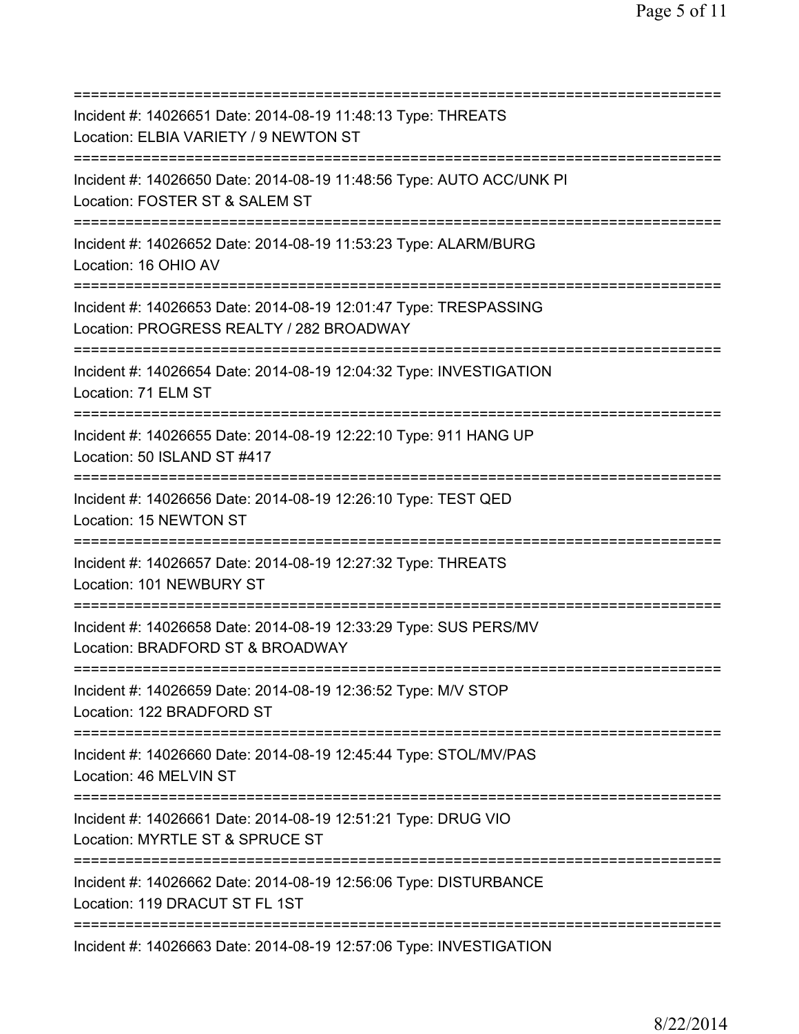| Incident #: 14026651 Date: 2014-08-19 11:48:13 Type: THREATS<br>Location: ELBIA VARIETY / 9 NEWTON ST                                        |
|----------------------------------------------------------------------------------------------------------------------------------------------|
| Incident #: 14026650 Date: 2014-08-19 11:48:56 Type: AUTO ACC/UNK PI<br>Location: FOSTER ST & SALEM ST                                       |
| Incident #: 14026652 Date: 2014-08-19 11:53:23 Type: ALARM/BURG<br>Location: 16 OHIO AV                                                      |
| Incident #: 14026653 Date: 2014-08-19 12:01:47 Type: TRESPASSING<br>Location: PROGRESS REALTY / 282 BROADWAY<br>:=====================       |
| Incident #: 14026654 Date: 2014-08-19 12:04:32 Type: INVESTIGATION<br>Location: 71 ELM ST                                                    |
| Incident #: 14026655 Date: 2014-08-19 12:22:10 Type: 911 HANG UP<br>Location: 50 ISLAND ST #417<br>=======================                   |
| Incident #: 14026656 Date: 2014-08-19 12:26:10 Type: TEST QED<br>Location: 15 NEWTON ST                                                      |
| Incident #: 14026657 Date: 2014-08-19 12:27:32 Type: THREATS<br>Location: 101 NEWBURY ST                                                     |
| Incident #: 14026658 Date: 2014-08-19 12:33:29 Type: SUS PERS/MV<br>Location: BRADFORD ST & BROADWAY                                         |
| Incident #: 14026659 Date: 2014-08-19 12:36:52 Type: M/V STOP<br>Location: 122 BRADFORD ST                                                   |
| Incident #: 14026660 Date: 2014-08-19 12:45:44 Type: STOL/MV/PAS<br>Location: 46 MELVIN ST                                                   |
| Incident #: 14026661 Date: 2014-08-19 12:51:21 Type: DRUG VIO<br>Location: MYRTLE ST & SPRUCE ST                                             |
| ======================================<br>Incident #: 14026662 Date: 2014-08-19 12:56:06 Type: DISTURBANCE<br>Location: 119 DRACUT ST FL 1ST |
| ===============<br>Incident #: 14026663 Date: 2014-08-19 12:57:06 Type: INVESTIGATION                                                        |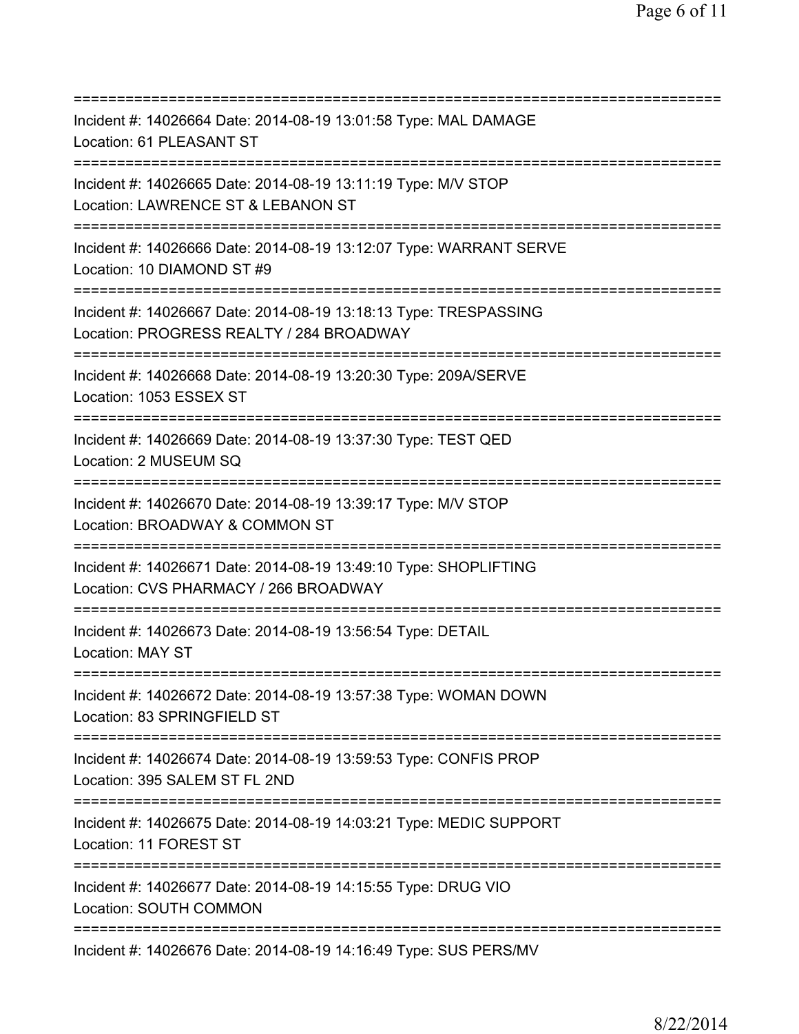| Incident #: 14026664 Date: 2014-08-19 13:01:58 Type: MAL DAMAGE<br>Location: 61 PLEASANT ST                                |
|----------------------------------------------------------------------------------------------------------------------------|
| Incident #: 14026665 Date: 2014-08-19 13:11:19 Type: M/V STOP<br>Location: LAWRENCE ST & LEBANON ST                        |
| Incident #: 14026666 Date: 2014-08-19 13:12:07 Type: WARRANT SERVE<br>Location: 10 DIAMOND ST #9                           |
| Incident #: 14026667 Date: 2014-08-19 13:18:13 Type: TRESPASSING<br>Location: PROGRESS REALTY / 284 BROADWAY               |
| Incident #: 14026668 Date: 2014-08-19 13:20:30 Type: 209A/SERVE<br>Location: 1053 ESSEX ST                                 |
| Incident #: 14026669 Date: 2014-08-19 13:37:30 Type: TEST QED<br>Location: 2 MUSEUM SQ<br>:=============================== |
| Incident #: 14026670 Date: 2014-08-19 13:39:17 Type: M/V STOP<br>Location: BROADWAY & COMMON ST                            |
| Incident #: 14026671 Date: 2014-08-19 13:49:10 Type: SHOPLIFTING<br>Location: CVS PHARMACY / 266 BROADWAY                  |
| Incident #: 14026673 Date: 2014-08-19 13:56:54 Type: DETAIL<br><b>Location: MAY ST</b>                                     |
| Incident #: 14026672 Date: 2014-08-19 13:57:38 Type: WOMAN DOWN<br>Location: 83 SPRINGFIELD ST                             |
| Incident #: 14026674 Date: 2014-08-19 13:59:53 Type: CONFIS PROP<br>Location: 395 SALEM ST FL 2ND                          |
| ;=========================<br>Incident #: 14026675 Date: 2014-08-19 14:03:21 Type: MEDIC SUPPORT<br>Location: 11 FOREST ST |
| Incident #: 14026677 Date: 2014-08-19 14:15:55 Type: DRUG VIO<br>Location: SOUTH COMMON                                    |
| Incident #: 14026676 Date: 2014-08-19 14:16:49 Type: SUS PERS/MV                                                           |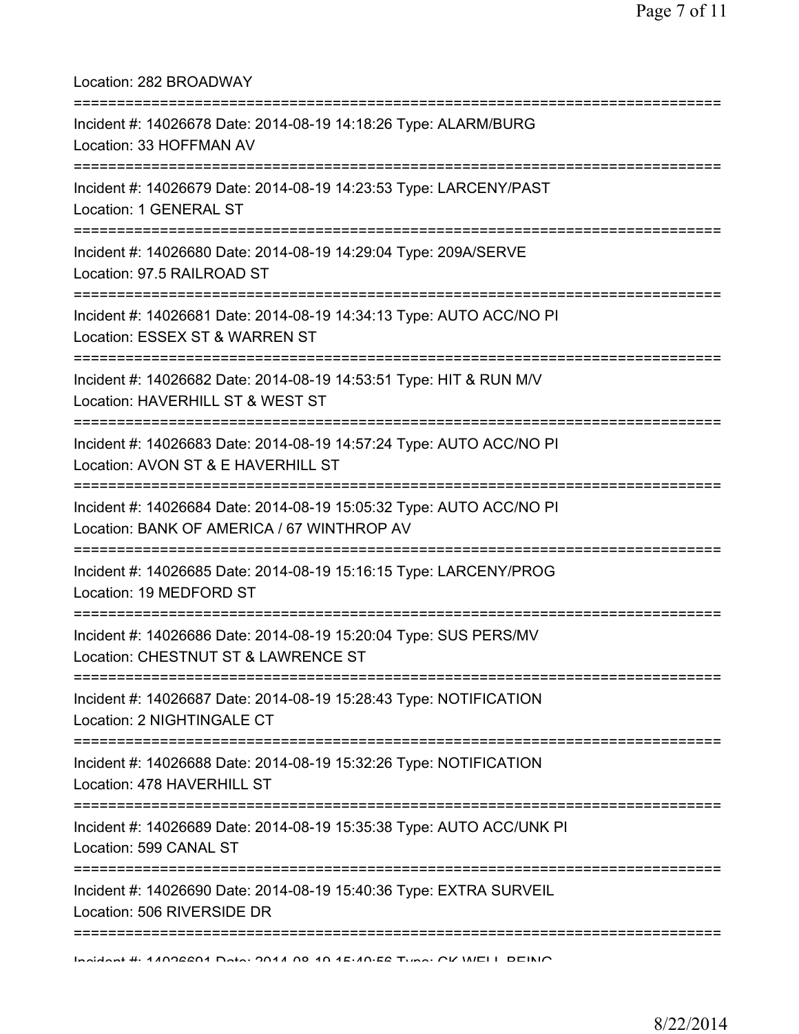| Location: 282 BROADWAY<br>;===================================                                                                     |
|------------------------------------------------------------------------------------------------------------------------------------|
| Incident #: 14026678 Date: 2014-08-19 14:18:26 Type: ALARM/BURG<br>Location: 33 HOFFMAN AV<br>==================================== |
| Incident #: 14026679 Date: 2014-08-19 14:23:53 Type: LARCENY/PAST<br>Location: 1 GENERAL ST<br>;=================================  |
| Incident #: 14026680 Date: 2014-08-19 14:29:04 Type: 209A/SERVE<br>Location: 97.5 RAILROAD ST                                      |
| Incident #: 14026681 Date: 2014-08-19 14:34:13 Type: AUTO ACC/NO PI<br>Location: ESSEX ST & WARREN ST                              |
| Incident #: 14026682 Date: 2014-08-19 14:53:51 Type: HIT & RUN M/V<br>Location: HAVERHILL ST & WEST ST<br>===========              |
| Incident #: 14026683 Date: 2014-08-19 14:57:24 Type: AUTO ACC/NO PI<br>Location: AVON ST & E HAVERHILL ST                          |
| Incident #: 14026684 Date: 2014-08-19 15:05:32 Type: AUTO ACC/NO PI<br>Location: BANK OF AMERICA / 67 WINTHROP AV                  |
| Incident #: 14026685 Date: 2014-08-19 15:16:15 Type: LARCENY/PROG<br>Location: 19 MEDFORD ST                                       |
| Incident #: 14026686 Date: 2014-08-19 15:20:04 Type: SUS PERS/MV<br>Location: CHESTNUT ST & LAWRENCE ST                            |
| Incident #: 14026687 Date: 2014-08-19 15:28:43 Type: NOTIFICATION<br>Location: 2 NIGHTINGALE CT                                    |
| Incident #: 14026688 Date: 2014-08-19 15:32:26 Type: NOTIFICATION<br>Location: 478 HAVERHILL ST                                    |
| Incident #: 14026689 Date: 2014-08-19 15:35:38 Type: AUTO ACC/UNK PI<br>Location: 599 CANAL ST                                     |
| Incident #: 14026690 Date: 2014-08-19 15:40:36 Type: EXTRA SURVEIL<br>Location: 506 RIVERSIDE DR                                   |
| :==========================<br>Incident #: 11006601 Deta: 0011 00 10 15:10:56 Tyne: OV WELL DEINIO                                 |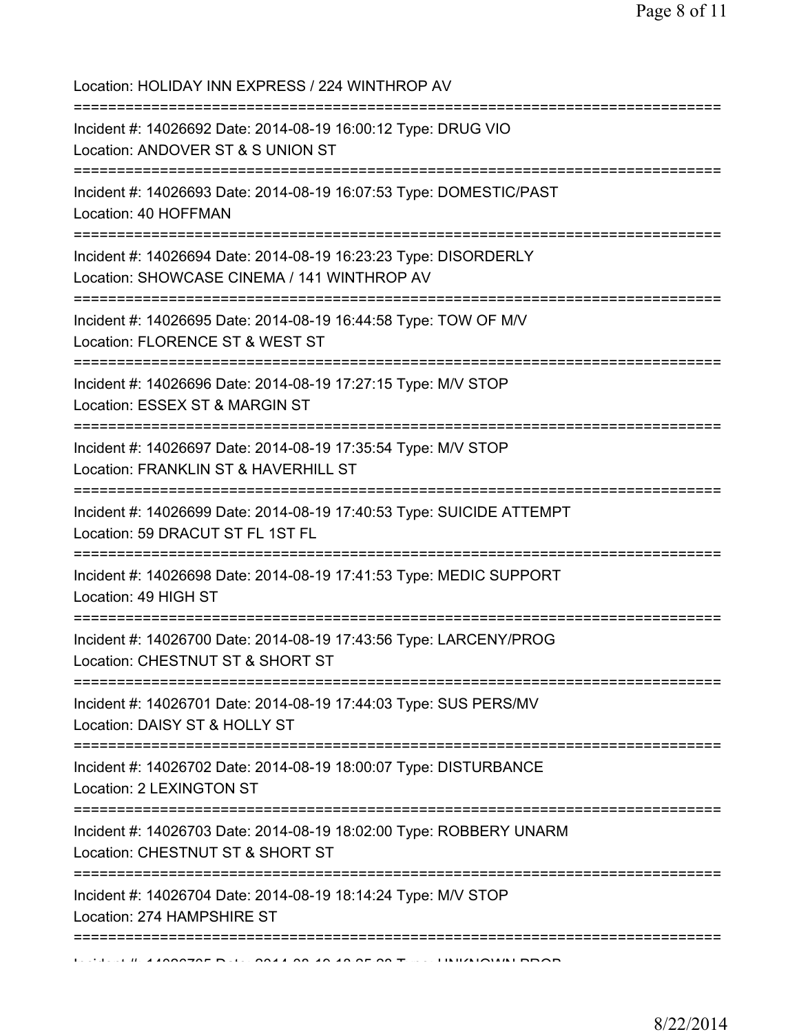| Location: HOLIDAY INN EXPRESS / 224 WINTHROP AV                                                                                                                |
|----------------------------------------------------------------------------------------------------------------------------------------------------------------|
| Incident #: 14026692 Date: 2014-08-19 16:00:12 Type: DRUG VIO<br>Location: ANDOVER ST & S UNION ST                                                             |
| Incident #: 14026693 Date: 2014-08-19 16:07:53 Type: DOMESTIC/PAST<br>Location: 40 HOFFMAN                                                                     |
| Incident #: 14026694 Date: 2014-08-19 16:23:23 Type: DISORDERLY<br>Location: SHOWCASE CINEMA / 141 WINTHROP AV                                                 |
| Incident #: 14026695 Date: 2014-08-19 16:44:58 Type: TOW OF M/V<br>Location: FLORENCE ST & WEST ST                                                             |
| Incident #: 14026696 Date: 2014-08-19 17:27:15 Type: M/V STOP<br>Location: ESSEX ST & MARGIN ST                                                                |
| Incident #: 14026697 Date: 2014-08-19 17:35:54 Type: M/V STOP<br>Location: FRANKLIN ST & HAVERHILL ST                                                          |
| :=======================<br>Incident #: 14026699 Date: 2014-08-19 17:40:53 Type: SUICIDE ATTEMPT<br>Location: 59 DRACUT ST FL 1ST FL<br>:===================== |
| Incident #: 14026698 Date: 2014-08-19 17:41:53 Type: MEDIC SUPPORT<br>Location: 49 HIGH ST                                                                     |
| Incident #: 14026700 Date: 2014-08-19 17:43:56 Type: LARCENY/PROG<br>Location: CHESTNUT ST & SHORT ST                                                          |
| Incident #: 14026701 Date: 2014-08-19 17:44:03 Type: SUS PERS/MV<br>Location: DAISY ST & HOLLY ST                                                              |
| Incident #: 14026702 Date: 2014-08-19 18:00:07 Type: DISTURBANCE<br>Location: 2 LEXINGTON ST                                                                   |
| Incident #: 14026703 Date: 2014-08-19 18:02:00 Type: ROBBERY UNARM<br>Location: CHESTNUT ST & SHORT ST                                                         |
| Incident #: 14026704 Date: 2014-08-19 18:14:24 Type: M/V STOP<br>Location: 274 HAMPSHIRE ST                                                                    |
|                                                                                                                                                                |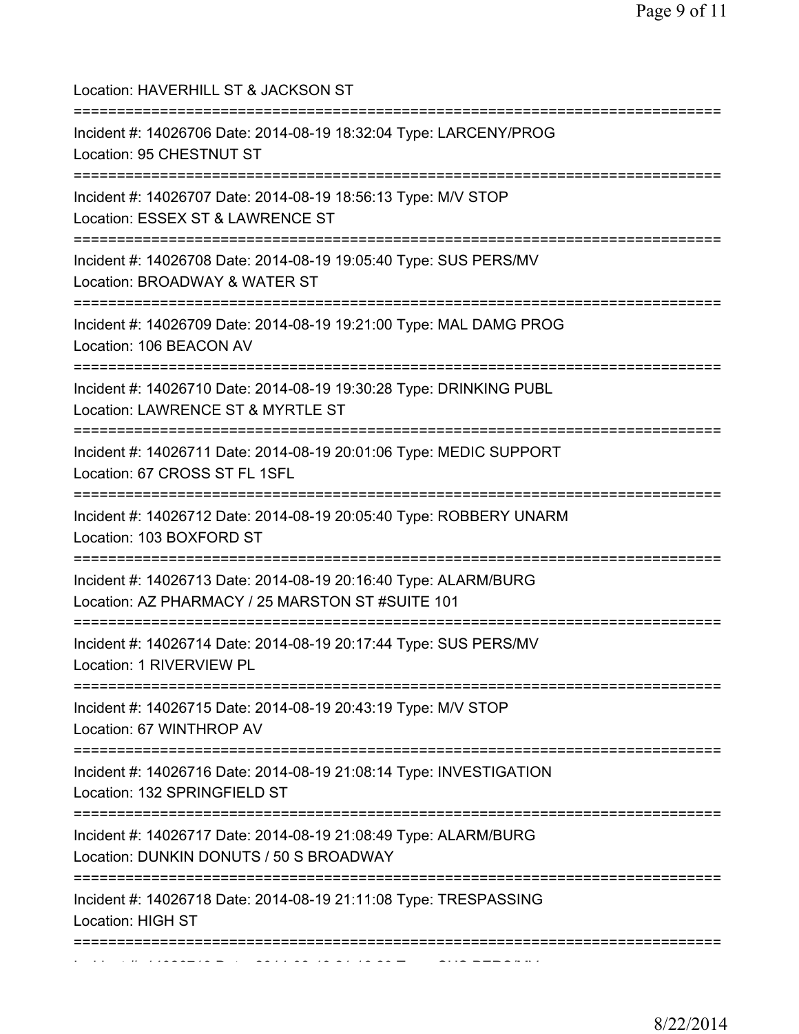| Location: HAVERHILL ST & JACKSON ST<br>======================================                                                           |
|-----------------------------------------------------------------------------------------------------------------------------------------|
| Incident #: 14026706 Date: 2014-08-19 18:32:04 Type: LARCENY/PROG<br>Location: 95 CHESTNUT ST<br>====================================== |
| Incident #: 14026707 Date: 2014-08-19 18:56:13 Type: M/V STOP<br>Location: ESSEX ST & LAWRENCE ST<br>==========================         |
| Incident #: 14026708 Date: 2014-08-19 19:05:40 Type: SUS PERS/MV<br>Location: BROADWAY & WATER ST                                       |
| Incident #: 14026709 Date: 2014-08-19 19:21:00 Type: MAL DAMG PROG<br>Location: 106 BEACON AV                                           |
| Incident #: 14026710 Date: 2014-08-19 19:30:28 Type: DRINKING PUBL<br>Location: LAWRENCE ST & MYRTLE ST<br>============================ |
| Incident #: 14026711 Date: 2014-08-19 20:01:06 Type: MEDIC SUPPORT<br>Location: 67 CROSS ST FL 1SFL                                     |
| Incident #: 14026712 Date: 2014-08-19 20:05:40 Type: ROBBERY UNARM<br>Location: 103 BOXFORD ST                                          |
| Incident #: 14026713 Date: 2014-08-19 20:16:40 Type: ALARM/BURG<br>Location: AZ PHARMACY / 25 MARSTON ST #SUITE 101                     |
| Incident #: 14026714 Date: 2014-08-19 20:17:44 Type: SUS PERS/MV<br>Location: 1 RIVERVIEW PL                                            |
| =================================<br>Incident #: 14026715 Date: 2014-08-19 20:43:19 Type: M/V STOP<br>Location: 67 WINTHROP AV          |
| Incident #: 14026716 Date: 2014-08-19 21:08:14 Type: INVESTIGATION<br>Location: 132 SPRINGFIELD ST                                      |
| Incident #: 14026717 Date: 2014-08-19 21:08:49 Type: ALARM/BURG<br>Location: DUNKIN DONUTS / 50 S BROADWAY                              |
| Incident #: 14026718 Date: 2014-08-19 21:11:08 Type: TRESPASSING<br>Location: HIGH ST                                                   |
|                                                                                                                                         |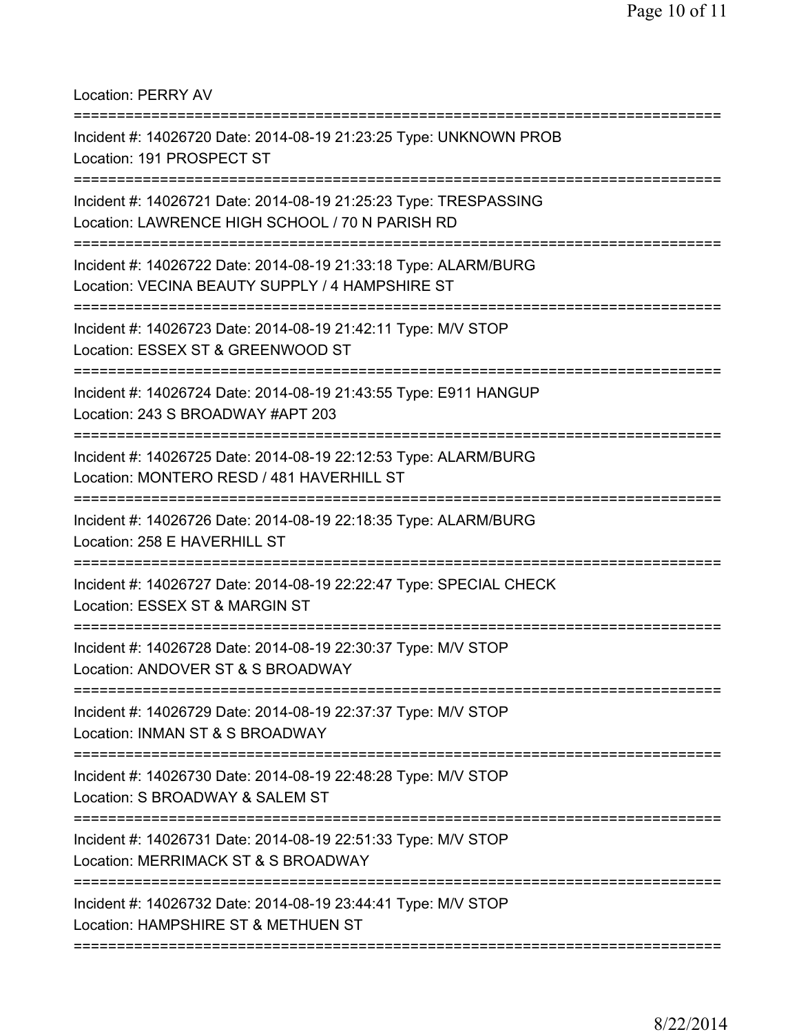Location: PERRY AV

| Incident #: 14026720 Date: 2014-08-19 21:23:25 Type: UNKNOWN PROB<br>Location: 191 PROSPECT ST                                           |
|------------------------------------------------------------------------------------------------------------------------------------------|
| Incident #: 14026721 Date: 2014-08-19 21:25:23 Type: TRESPASSING<br>Location: LAWRENCE HIGH SCHOOL / 70 N PARISH RD                      |
| Incident #: 14026722 Date: 2014-08-19 21:33:18 Type: ALARM/BURG<br>Location: VECINA BEAUTY SUPPLY / 4 HAMPSHIRE ST                       |
| Incident #: 14026723 Date: 2014-08-19 21:42:11 Type: M/V STOP<br>Location: ESSEX ST & GREENWOOD ST                                       |
| Incident #: 14026724 Date: 2014-08-19 21:43:55 Type: E911 HANGUP<br>Location: 243 S BROADWAY #APT 203                                    |
| Incident #: 14026725 Date: 2014-08-19 22:12:53 Type: ALARM/BURG<br>Location: MONTERO RESD / 481 HAVERHILL ST                             |
| Incident #: 14026726 Date: 2014-08-19 22:18:35 Type: ALARM/BURG<br>Location: 258 E HAVERHILL ST                                          |
| Incident #: 14026727 Date: 2014-08-19 22:22:47 Type: SPECIAL CHECK<br>Location: ESSEX ST & MARGIN ST                                     |
| Incident #: 14026728 Date: 2014-08-19 22:30:37 Type: M/V STOP<br>Location: ANDOVER ST & S BROADWAY                                       |
| :===================================<br>Incident #: 14026729 Date: 2014-08-19 22:37:37 Type: M/V STOP<br>Location: INMAN ST & S BROADWAY |
| Incident #: 14026730 Date: 2014-08-19 22:48:28 Type: M/V STOP<br>Location: S BROADWAY & SALEM ST                                         |
| Incident #: 14026731 Date: 2014-08-19 22:51:33 Type: M/V STOP<br>Location: MERRIMACK ST & S BROADWAY                                     |
| Incident #: 14026732 Date: 2014-08-19 23:44:41 Type: M/V STOP<br>Location: HAMPSHIRE ST & METHUEN ST                                     |
|                                                                                                                                          |